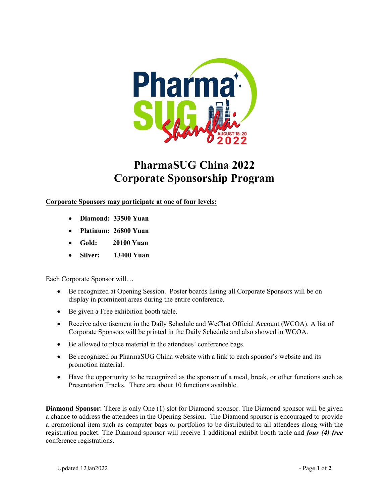

## PharmaSUG China 2022 Corporate Sponsorship Program

Corporate Sponsors may participate at one of four levels:

- Diamond: 33500 Yuan
- Platinum: 26800 Yuan
- Gold: 20100 Yuan
- Silver: 13400 Yuan

Each Corporate Sponsor will…

- Be recognized at Opening Session. Poster boards listing all Corporate Sponsors will be on display in prominent areas during the entire conference.
- Be given a Free exhibition booth table.
- Receive advertisement in the Daily Schedule and WeChat Official Account (WCOA). A list of Corporate Sponsors will be printed in the Daily Schedule and also showed in WCOA.
- Be allowed to place material in the attendees' conference bags.
- Be recognized on PharmaSUG China website with a link to each sponsor's website and its promotion material.
- Have the opportunity to be recognized as the sponsor of a meal, break, or other functions such as Presentation Tracks. There are about 10 functions available.

Diamond Sponsor: There is only One (1) slot for Diamond sponsor. The Diamond sponsor will be given a chance to address the attendees in the Opening Session. The Diamond sponsor is encouraged to provide a promotional item such as computer bags or portfolios to be distributed to all attendees along with the registration packet. The Diamond sponsor will receive 1 additional exhibit booth table and four (4) free conference registrations.